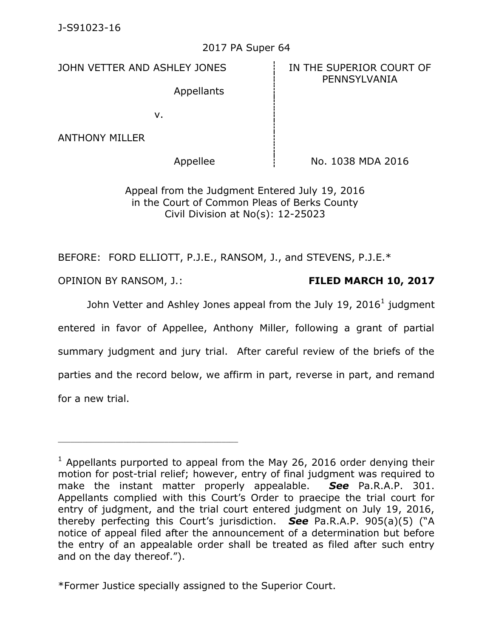## 2017 PA Super 64

JOHN VETTER AND ASHLEY JONES **IN THE SUPERIOR COURT OF** 

PENNSYLVANIA

Appellants

v.

ANTHONY MILLER

Appellee  $\parallel$  No. 1038 MDA 2016

Appeal from the Judgment Entered July 19, 2016 in the Court of Common Pleas of Berks County Civil Division at No(s): 12-25023

BEFORE: FORD ELLIOTT, P.J.E., RANSOM, J., and STEVENS, P.J.E.\*

\_\_\_\_\_\_\_\_\_\_\_\_\_\_\_\_\_\_\_\_\_\_\_\_\_\_\_\_\_\_\_\_\_\_\_\_\_\_\_\_\_\_\_\_

OPINION BY RANSOM, J.: **FILED MARCH 10, 2017**

John Vetter and Ashley Jones appeal from the July 19, 2016<sup>1</sup> judgment entered in favor of Appellee, Anthony Miller, following a grant of partial summary judgment and jury trial. After careful review of the briefs of the parties and the record below, we affirm in part, reverse in part, and remand for a new trial.

\*Former Justice specially assigned to the Superior Court.

 $1$  Appellants purported to appeal from the May 26, 2016 order denying their motion for post-trial relief; however, entry of final judgment was required to make the instant matter properly appealable. *See* Pa.R.A.P. 301. Appellants complied with this Court's Order to praecipe the trial court for entry of judgment, and the trial court entered judgment on July 19, 2016, thereby perfecting this Court's jurisdiction. *See* Pa.R.A.P. 905(a)(5) ("A notice of appeal filed after the announcement of a determination but before the entry of an appealable order shall be treated as filed after such entry and on the day thereof.").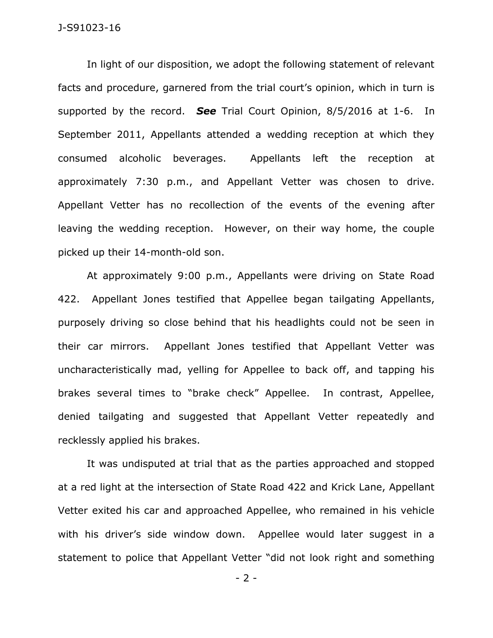In light of our disposition, we adopt the following statement of relevant facts and procedure, garnered from the trial court's opinion, which in turn is supported by the record. *See* Trial Court Opinion, 8/5/2016 at 1-6. In September 2011, Appellants attended a wedding reception at which they consumed alcoholic beverages. Appellants left the reception at approximately 7:30 p.m., and Appellant Vetter was chosen to drive. Appellant Vetter has no recollection of the events of the evening after leaving the wedding reception. However, on their way home, the couple picked up their 14-month-old son.

At approximately 9:00 p.m., Appellants were driving on State Road 422. Appellant Jones testified that Appellee began tailgating Appellants, purposely driving so close behind that his headlights could not be seen in their car mirrors. Appellant Jones testified that Appellant Vetter was uncharacteristically mad, yelling for Appellee to back off, and tapping his brakes several times to "brake check" Appellee. In contrast, Appellee, denied tailgating and suggested that Appellant Vetter repeatedly and recklessly applied his brakes.

It was undisputed at trial that as the parties approached and stopped at a red light at the intersection of State Road 422 and Krick Lane, Appellant Vetter exited his car and approached Appellee, who remained in his vehicle with his driver's side window down. Appellee would later suggest in a statement to police that Appellant Vetter "did not look right and something

- 2 -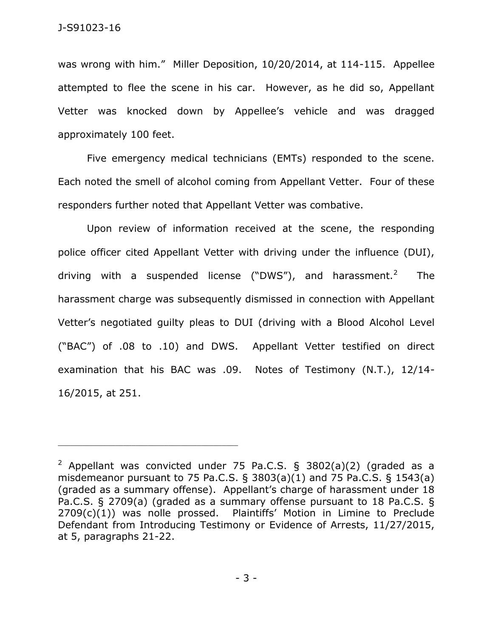was wrong with him." Miller Deposition, 10/20/2014, at 114-115. Appellee attempted to flee the scene in his car. However, as he did so, Appellant Vetter was knocked down by Appellee's vehicle and was dragged approximately 100 feet.

Five emergency medical technicians (EMTs) responded to the scene. Each noted the smell of alcohol coming from Appellant Vetter. Four of these responders further noted that Appellant Vetter was combative.

Upon review of information received at the scene, the responding police officer cited Appellant Vetter with driving under the influence (DUI), driving with a suspended license ("DWS"), and harassment.<sup>2</sup> The harassment charge was subsequently dismissed in connection with Appellant Vetter's negotiated guilty pleas to DUI (driving with a Blood Alcohol Level ("BAC") of .08 to .10) and DWS. Appellant Vetter testified on direct examination that his BAC was .09. Notes of Testimony (N.T.), 12/14- 16/2015, at 251.

<sup>&</sup>lt;sup>2</sup> Appellant was convicted under 75 Pa.C.S. § 3802(a)(2) (graded as a misdemeanor pursuant to 75 Pa.C.S.  $\S$  3803(a)(1) and 75 Pa.C.S.  $\S$  1543(a) (graded as a summary offense). Appellant's charge of harassment under 18 Pa.C.S. § 2709(a) (graded as a summary offense pursuant to 18 Pa.C.S. § 2709(c)(1)) was nolle prossed. Plaintiffs' Motion in Limine to Preclude Defendant from Introducing Testimony or Evidence of Arrests, 11/27/2015, at 5, paragraphs 21-22.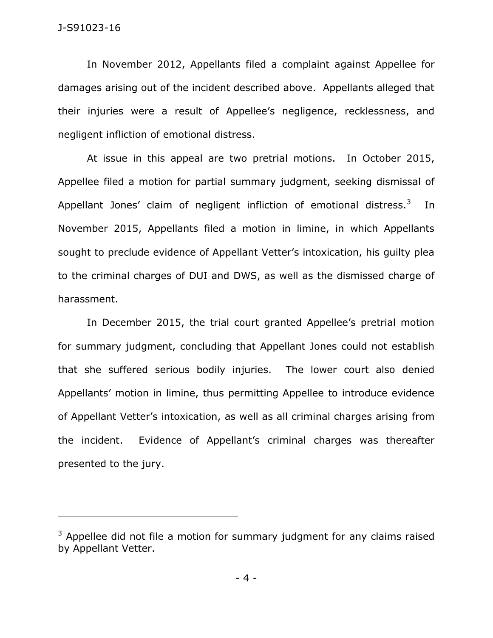In November 2012, Appellants filed a complaint against Appellee for damages arising out of the incident described above. Appellants alleged that their injuries were a result of Appellee's negligence, recklessness, and negligent infliction of emotional distress.

At issue in this appeal are two pretrial motions. In October 2015, Appellee filed a motion for partial summary judgment, seeking dismissal of Appellant Jones' claim of negligent infliction of emotional distress.<sup>3</sup> In November 2015, Appellants filed a motion in limine, in which Appellants sought to preclude evidence of Appellant Vetter's intoxication, his guilty plea to the criminal charges of DUI and DWS, as well as the dismissed charge of harassment.

In December 2015, the trial court granted Appellee's pretrial motion for summary judgment, concluding that Appellant Jones could not establish that she suffered serious bodily injuries. The lower court also denied Appellants' motion in limine, thus permitting Appellee to introduce evidence of Appellant Vetter's intoxication, as well as all criminal charges arising from the incident. Evidence of Appellant's criminal charges was thereafter presented to the jury.

 $3$  Appellee did not file a motion for summary judgment for any claims raised by Appellant Vetter.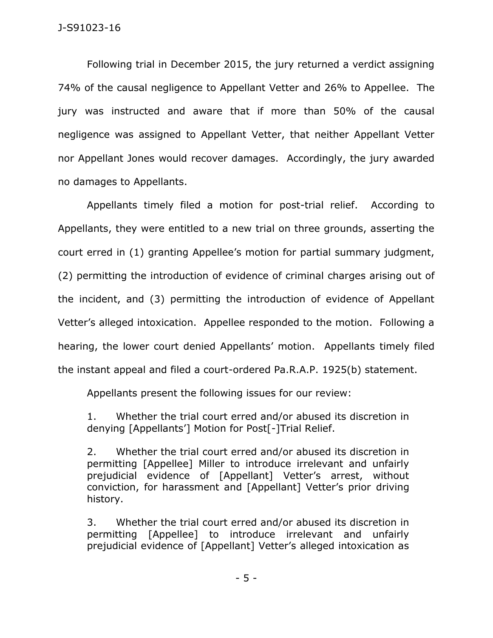Following trial in December 2015, the jury returned a verdict assigning 74% of the causal negligence to Appellant Vetter and 26% to Appellee. The jury was instructed and aware that if more than 50% of the causal negligence was assigned to Appellant Vetter, that neither Appellant Vetter nor Appellant Jones would recover damages. Accordingly, the jury awarded no damages to Appellants.

Appellants timely filed a motion for post-trial relief. According to Appellants, they were entitled to a new trial on three grounds, asserting the court erred in (1) granting Appellee's motion for partial summary judgment, (2) permitting the introduction of evidence of criminal charges arising out of the incident, and (3) permitting the introduction of evidence of Appellant Vetter's alleged intoxication. Appellee responded to the motion. Following a hearing, the lower court denied Appellants' motion. Appellants timely filed the instant appeal and filed a court-ordered Pa.R.A.P. 1925(b) statement.

Appellants present the following issues for our review:

1. Whether the trial court erred and/or abused its discretion in denying [Appellants'] Motion for Post[-]Trial Relief.

2. Whether the trial court erred and/or abused its discretion in permitting [Appellee] Miller to introduce irrelevant and unfairly prejudicial evidence of [Appellant] Vetter's arrest, without conviction, for harassment and [Appellant] Vetter's prior driving history.

3. Whether the trial court erred and/or abused its discretion in permitting [Appellee] to introduce irrelevant and unfairly prejudicial evidence of [Appellant] Vetter's alleged intoxication as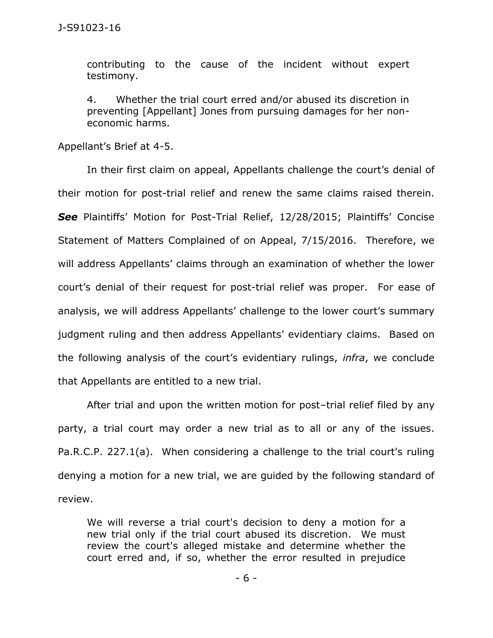contributing to the cause of the incident without expert testimony.

4. Whether the trial court erred and/or abused its discretion in preventing [Appellant] Jones from pursuing damages for her noneconomic harms.

Appellant's Brief at 4-5.

In their first claim on appeal, Appellants challenge the court's denial of their motion for post-trial relief and renew the same claims raised therein. *See* Plaintiffs' Motion for Post-Trial Relief, 12/28/2015; Plaintiffs' Concise Statement of Matters Complained of on Appeal, 7/15/2016. Therefore, we will address Appellants' claims through an examination of whether the lower court's denial of their request for post-trial relief was proper. For ease of analysis, we will address Appellants' challenge to the lower court's summary judgment ruling and then address Appellants' evidentiary claims. Based on the following analysis of the court's evidentiary rulings, *infra*, we conclude that Appellants are entitled to a new trial.

After trial and upon the written motion for post–trial relief filed by any party, a trial court may order a new trial as to all or any of the issues. Pa.R.C.P. 227.1(a). When considering a challenge to the trial court's ruling denying a motion for a new trial, we are guided by the following standard of review.

We will reverse a trial court's decision to deny a motion for a new trial only if the trial court abused its discretion. We must review the court's alleged mistake and determine whether the court erred and, if so, whether the error resulted in prejudice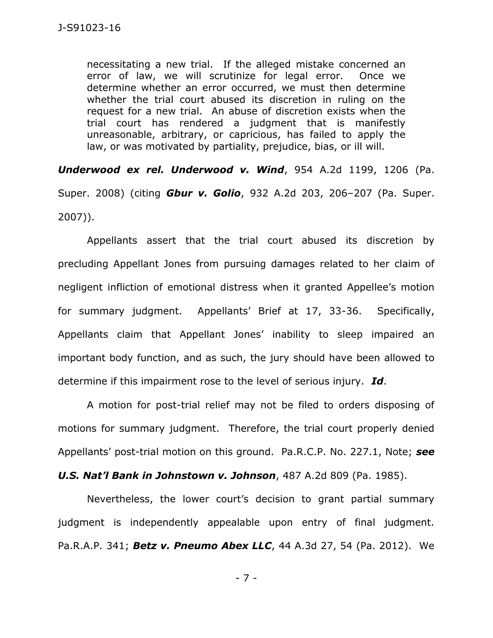necessitating a new trial. If the alleged mistake concerned an error of law, we will scrutinize for legal error. Once we determine whether an error occurred, we must then determine whether the trial court abused its discretion in ruling on the request for a new trial. An abuse of discretion exists when the trial court has rendered a judgment that is manifestly unreasonable, arbitrary, or capricious, has failed to apply the law, or was motivated by partiality, prejudice, bias, or ill will.

*Underwood ex rel. Underwood v. Wind*, 954 A.2d 1199, 1206 (Pa. Super. 2008) (citing *Gbur v. Golio*, 932 A.2d 203, 206–207 (Pa. Super. 2007)).

Appellants assert that the trial court abused its discretion by precluding Appellant Jones from pursuing damages related to her claim of negligent infliction of emotional distress when it granted Appellee's motion for summary judgment. Appellants' Brief at 17, 33-36. Specifically, Appellants claim that Appellant Jones' inability to sleep impaired an important body function, and as such, the jury should have been allowed to determine if this impairment rose to the level of serious injury. *Id*.

A motion for post-trial relief may not be filed to orders disposing of motions for summary judgment. Therefore, the trial court properly denied Appellants' post-trial motion on this ground. Pa.R.C.P. No. 227.1, Note; *see* 

*U.S. Nat'l Bank in Johnstown v. Johnson*, 487 A.2d 809 (Pa. 1985).

Nevertheless, the lower court's decision to grant partial summary judgment is independently appealable upon entry of final judgment. Pa.R.A.P. 341; *Betz v. Pneumo Abex LLC*, 44 A.3d 27, 54 (Pa. 2012). We

- 7 -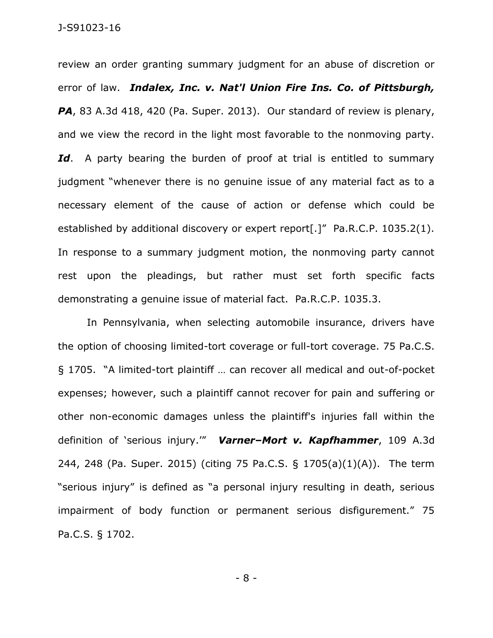review an order granting summary judgment for an abuse of discretion or error of law. *Indalex, Inc. v. Nat'l Union Fire Ins. Co. of Pittsburgh, PA*, 83 A.3d 418, 420 (Pa. Super. 2013). Our standard of review is plenary, and we view the record in the light most favorable to the nonmoving party. Id. A party bearing the burden of proof at trial is entitled to summary judgment "whenever there is no genuine issue of any material fact as to a necessary element of the cause of action or defense which could be established by additional discovery or expert report<sup>[.]"</sup> Pa.R.C.P. 1035.2(1). In response to a summary judgment motion, the nonmoving party cannot rest upon the pleadings, but rather must set forth specific facts demonstrating a genuine issue of material fact. Pa.R.C.P. 1035.3.

In Pennsylvania, when selecting automobile insurance, drivers have the option of choosing limited-tort coverage or full-tort coverage. 75 Pa.C.S. § 1705. "A limited-tort plaintiff … can recover all medical and out-of-pocket expenses; however, such a plaintiff cannot recover for pain and suffering or other non-economic damages unless the plaintiff's injuries fall within the definition of 'serious injury.'" *Varner–Mort v. Kapfhammer*, 109 A.3d 244, 248 (Pa. Super. 2015) (citing 75 Pa.C.S. § 1705(a)(1)(A)). The term "serious injury" is defined as "a personal injury resulting in death, serious impairment of body function or permanent serious disfigurement." 75 Pa.C.S. § 1702.

- 8 -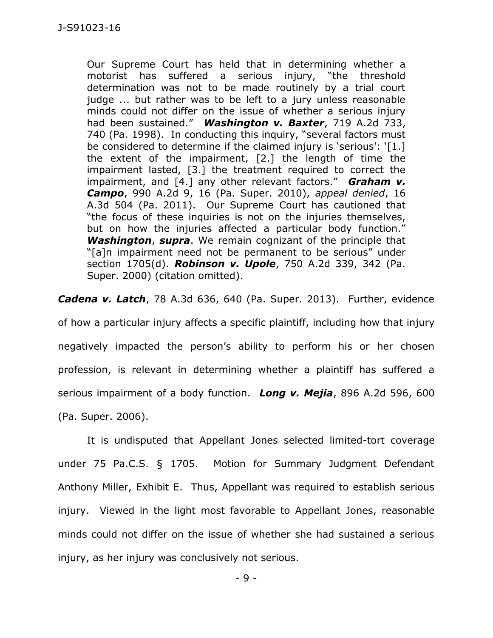Our Supreme Court has held that in determining whether a motorist has suffered a serious injury, "the threshold determination was not to be made routinely by a trial court judge ... but rather was to be left to a jury unless reasonable minds could not differ on the issue of whether a serious injury had been sustained." *Washington v. Baxter*, 719 A.2d 733, 740 (Pa. 1998). In conducting this inquiry, "several factors must be considered to determine if the claimed injury is 'serious': '[1.] the extent of the impairment, [2.] the length of time the impairment lasted, [3.] the treatment required to correct the impairment, and [4.] any other relevant factors." *Graham v. Campo*, 990 A.2d 9, 16 (Pa. Super. 2010), *appeal denied*, 16 A.3d 504 (Pa. 2011). Our Supreme Court has cautioned that "the focus of these inquiries is not on the injuries themselves, but on how the injuries affected a particular body function." *Washington*, *supra*. We remain cognizant of the principle that "[a]n impairment need not be permanent to be serious" under section 1705(d). *Robinson v. Upole*, 750 A.2d 339, 342 (Pa. Super. 2000) (citation omitted).

*Cadena v. Latch*, 78 A.3d 636, 640 (Pa. Super. 2013). Further, evidence of how a particular injury affects a specific plaintiff, including how that injury negatively impacted the person's ability to perform his or her chosen profession, is relevant in determining whether a plaintiff has suffered a serious impairment of a body function. *Long v. Mejia*, 896 A.2d 596, 600 (Pa. Super. 2006).

It is undisputed that Appellant Jones selected limited-tort coverage under 75 Pa.C.S. § 1705. Motion for Summary Judgment Defendant Anthony Miller, Exhibit E. Thus, Appellant was required to establish serious injury. Viewed in the light most favorable to Appellant Jones, reasonable minds could not differ on the issue of whether she had sustained a serious injury, as her injury was conclusively not serious.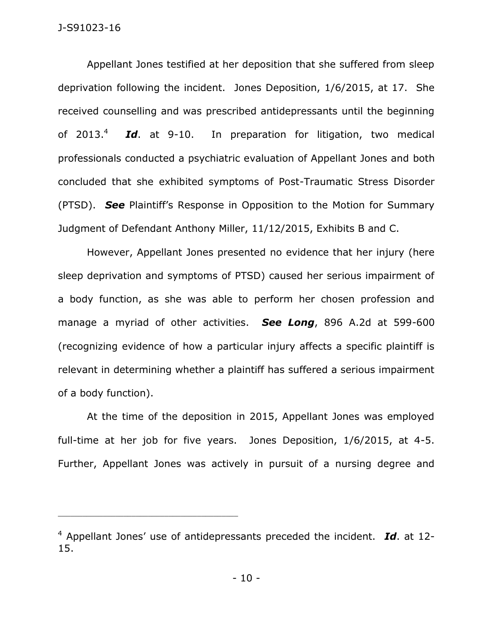Appellant Jones testified at her deposition that she suffered from sleep deprivation following the incident. Jones Deposition, 1/6/2015, at 17. She received counselling and was prescribed antidepressants until the beginning of  $2013.<sup>4</sup>$  *Id*. at 9-10. In preparation for litigation, two medical professionals conducted a psychiatric evaluation of Appellant Jones and both concluded that she exhibited symptoms of Post-Traumatic Stress Disorder (PTSD). *See* Plaintiff's Response in Opposition to the Motion for Summary Judgment of Defendant Anthony Miller, 11/12/2015, Exhibits B and C.

However, Appellant Jones presented no evidence that her injury (here sleep deprivation and symptoms of PTSD) caused her serious impairment of a body function, as she was able to perform her chosen profession and manage a myriad of other activities. *See Long*, 896 A.2d at 599-600 (recognizing evidence of how a particular injury affects a specific plaintiff is relevant in determining whether a plaintiff has suffered a serious impairment of a body function).

At the time of the deposition in 2015, Appellant Jones was employed full-time at her job for five years. Jones Deposition, 1/6/2015, at 4-5. Further, Appellant Jones was actively in pursuit of a nursing degree and

<sup>4</sup> Appellant Jones' use of antidepressants preceded the incident. *Id*. at 12- 15.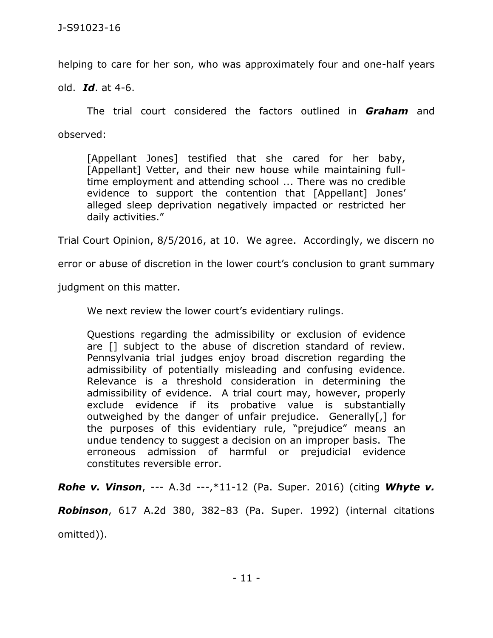helping to care for her son, who was approximately four and one-half years

old. *Id*. at 4-6.

The trial court considered the factors outlined in *Graham* and observed:

[Appellant Jones] testified that she cared for her baby, [Appellant] Vetter, and their new house while maintaining fulltime employment and attending school ... There was no credible evidence to support the contention that [Appellant] Jones' alleged sleep deprivation negatively impacted or restricted her daily activities."

Trial Court Opinion, 8/5/2016, at 10. We agree. Accordingly, we discern no

error or abuse of discretion in the lower court's conclusion to grant summary

judgment on this matter.

We next review the lower court's evidentiary rulings.

Questions regarding the admissibility or exclusion of evidence are [] subject to the abuse of discretion standard of review. Pennsylvania trial judges enjoy broad discretion regarding the admissibility of potentially misleading and confusing evidence. Relevance is a threshold consideration in determining the admissibility of evidence. A trial court may, however, properly exclude evidence if its probative value is substantially outweighed by the danger of unfair prejudice. Generally[,] for the purposes of this evidentiary rule, "prejudice" means an undue tendency to suggest a decision on an improper basis. The erroneous admission of harmful or prejudicial evidence constitutes reversible error.

*Rohe v. Vinson*, --- A.3d ---,\*11-12 (Pa. Super. 2016) (citing *Whyte v.* 

*Robinson*, 617 A.2d 380, 382–83 (Pa. Super. 1992) (internal citations omitted)).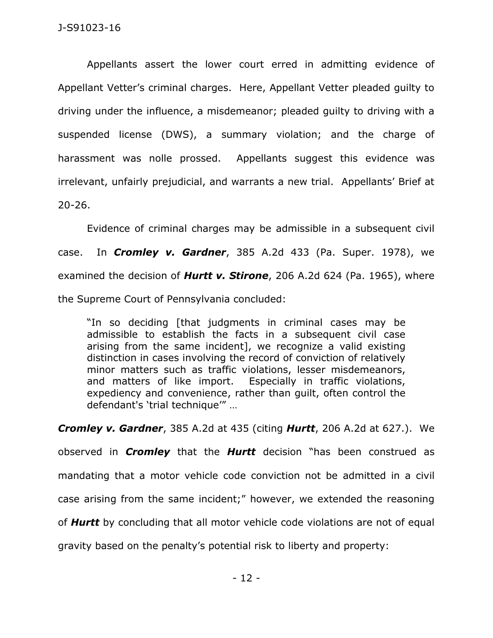Appellants assert the lower court erred in admitting evidence of Appellant Vetter's criminal charges. Here, Appellant Vetter pleaded guilty to driving under the influence, a misdemeanor; pleaded guilty to driving with a suspended license (DWS), a summary violation; and the charge of harassment was nolle prossed. Appellants suggest this evidence was irrelevant, unfairly prejudicial, and warrants a new trial. Appellants' Brief at 20-26.

Evidence of criminal charges may be admissible in a subsequent civil case. In *Cromley v. Gardner*, 385 A.2d 433 (Pa. Super. 1978), we examined the decision of *Hurtt v. Stirone*, 206 A.2d 624 (Pa. 1965), where the Supreme Court of Pennsylvania concluded:

"In so deciding [that judgments in criminal cases may be admissible to establish the facts in a subsequent civil case arising from the same incident], we recognize a valid existing distinction in cases involving the record of conviction of relatively minor matters such as traffic violations, lesser misdemeanors, and matters of like import. Especially in traffic violations, expediency and convenience, rather than guilt, often control the defendant's 'trial technique'" …

*Cromley v. Gardner*, 385 A.2d at 435 (citing *Hurtt*, 206 A.2d at 627.). We observed in *Cromley* that the *Hurtt* decision "has been construed as mandating that a motor vehicle code conviction not be admitted in a civil case arising from the same incident;" however, we extended the reasoning of *Hurtt* by concluding that all motor vehicle code violations are not of equal gravity based on the penalty's potential risk to liberty and property: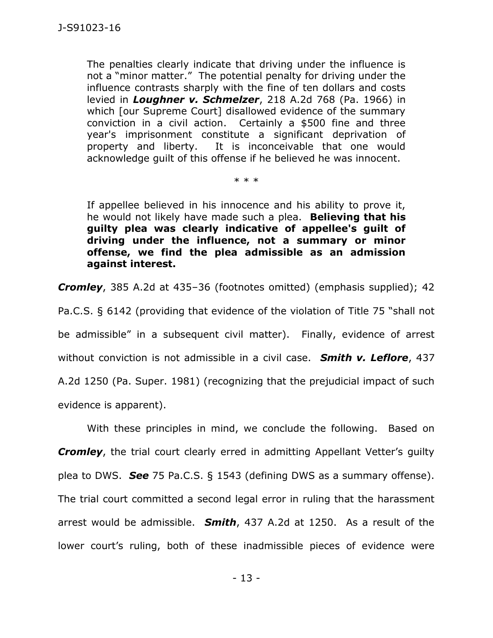The penalties clearly indicate that driving under the influence is not a "minor matter." The potential penalty for driving under the influence contrasts sharply with the fine of ten dollars and costs levied in *Loughner v. Schmelzer*, 218 A.2d 768 (Pa. 1966) in which [our Supreme Court] disallowed evidence of the summary conviction in a civil action. Certainly a \$500 fine and three year's imprisonment constitute a significant deprivation of property and liberty. It is inconceivable that one would acknowledge guilt of this offense if he believed he was innocent.

\* \* \*

If appellee believed in his innocence and his ability to prove it, he would not likely have made such a plea. **Believing that his guilty plea was clearly indicative of appellee's guilt of driving under the influence, not a summary or minor offense, we find the plea admissible as an admission against interest.**

*Cromley*, 385 A.2d at 435–36 (footnotes omitted) (emphasis supplied); 42

Pa.C.S. § 6142 (providing that evidence of the violation of Title 75 "shall not be admissible" in a subsequent civil matter). Finally, evidence of arrest without conviction is not admissible in a civil case. *Smith v. Leflore*, 437 A.2d 1250 (Pa. Super. 1981) (recognizing that the prejudicial impact of such evidence is apparent).

With these principles in mind, we conclude the following. Based on **Cromley**, the trial court clearly erred in admitting Appellant Vetter's quilty plea to DWS. *See* 75 Pa.C.S. § 1543 (defining DWS as a summary offense). The trial court committed a second legal error in ruling that the harassment arrest would be admissible. *Smith*, 437 A.2d at 1250. As a result of the lower court's ruling, both of these inadmissible pieces of evidence were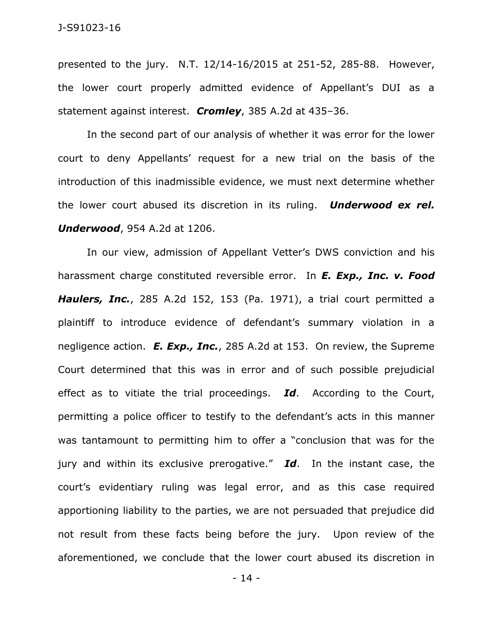presented to the jury. N.T. 12/14-16/2015 at 251-52, 285-88. However, the lower court properly admitted evidence of Appellant's DUI as a statement against interest. *Cromley*, 385 A.2d at 435–36.

In the second part of our analysis of whether it was error for the lower court to deny Appellants' request for a new trial on the basis of the introduction of this inadmissible evidence, we must next determine whether the lower court abused its discretion in its ruling. *Underwood ex rel. Underwood*, 954 A.2d at 1206.

In our view, admission of Appellant Vetter's DWS conviction and his harassment charge constituted reversible error. In *E. Exp., Inc. v. Food Haulers, Inc.*, 285 A.2d 152, 153 (Pa. 1971), a trial court permitted a plaintiff to introduce evidence of defendant's summary violation in a negligence action. *E. Exp., Inc.*, 285 A.2d at 153. On review, the Supreme Court determined that this was in error and of such possible prejudicial effect as to vitiate the trial proceedings. *Id*. According to the Court, permitting a police officer to testify to the defendant's acts in this manner was tantamount to permitting him to offer a "conclusion that was for the jury and within its exclusive prerogative." *Id*. In the instant case, the court's evidentiary ruling was legal error, and as this case required apportioning liability to the parties, we are not persuaded that prejudice did not result from these facts being before the jury. Upon review of the aforementioned, we conclude that the lower court abused its discretion in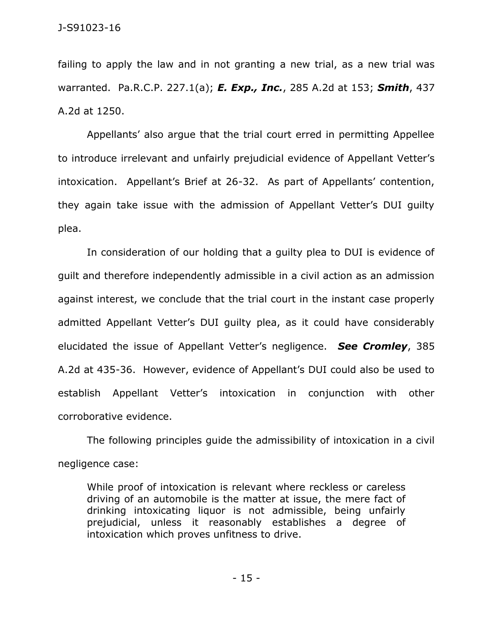failing to apply the law and in not granting a new trial, as a new trial was warranted. Pa.R.C.P. 227.1(a); *E. Exp., Inc.*, 285 A.2d at 153; *Smith*, 437 A.2d at 1250.

Appellants' also argue that the trial court erred in permitting Appellee to introduce irrelevant and unfairly prejudicial evidence of Appellant Vetter's intoxication. Appellant's Brief at 26-32. As part of Appellants' contention, they again take issue with the admission of Appellant Vetter's DUI guilty plea.

In consideration of our holding that a guilty plea to DUI is evidence of guilt and therefore independently admissible in a civil action as an admission against interest, we conclude that the trial court in the instant case properly admitted Appellant Vetter's DUI guilty plea, as it could have considerably elucidated the issue of Appellant Vetter's negligence. *See Cromley*, 385 A.2d at 435-36. However, evidence of Appellant's DUI could also be used to establish Appellant Vetter's intoxication in conjunction with other corroborative evidence.

The following principles guide the admissibility of intoxication in a civil negligence case:

While proof of intoxication is relevant where reckless or careless driving of an automobile is the matter at issue, the mere fact of drinking intoxicating liquor is not admissible, being unfairly prejudicial, unless it reasonably establishes a degree of intoxication which proves unfitness to drive.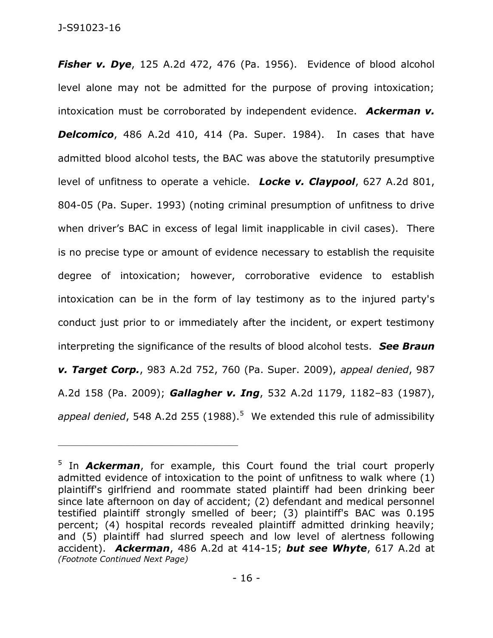**Fisher v. Dye**, 125 A.2d 472, 476 (Pa. 1956). Evidence of blood alcohol level alone may not be admitted for the purpose of proving intoxication; intoxication must be corroborated by independent evidence. *Ackerman v.*  **Delcomico**, 486 A.2d 410, 414 (Pa. Super. 1984). In cases that have admitted blood alcohol tests, the BAC was above the statutorily presumptive level of unfitness to operate a vehicle. *Locke v. Claypool*, 627 A.2d 801, 804-05 (Pa. Super. 1993) (noting criminal presumption of unfitness to drive when driver's BAC in excess of legal limit inapplicable in civil cases). There is no precise type or amount of evidence necessary to establish the requisite degree of intoxication; however, corroborative evidence to establish intoxication can be in the form of lay testimony as to the injured party's conduct just prior to or immediately after the incident, or expert testimony interpreting the significance of the results of blood alcohol tests. *See Braun v. Target Corp.*, 983 A.2d 752, 760 (Pa. Super. 2009), *appeal denied*, 987 A.2d 158 (Pa. 2009); *Gallagher v. Ing*, 532 A.2d 1179, 1182–83 (1987), appeal denied, 548 A.2d 255 (1988).<sup>5</sup> We extended this rule of admissibility

<sup>&</sup>lt;sup>5</sup> In **Ackerman**, for example, this Court found the trial court properly admitted evidence of intoxication to the point of unfitness to walk where (1) plaintiff's girlfriend and roommate stated plaintiff had been drinking beer since late afternoon on day of accident; (2) defendant and medical personnel testified plaintiff strongly smelled of beer; (3) plaintiff's BAC was 0.195 percent; (4) hospital records revealed plaintiff admitted drinking heavily; and (5) plaintiff had slurred speech and low level of alertness following accident). *Ackerman*, 486 A.2d at 414-15; *but see Whyte*, 617 A.2d at *(Footnote Continued Next Page)*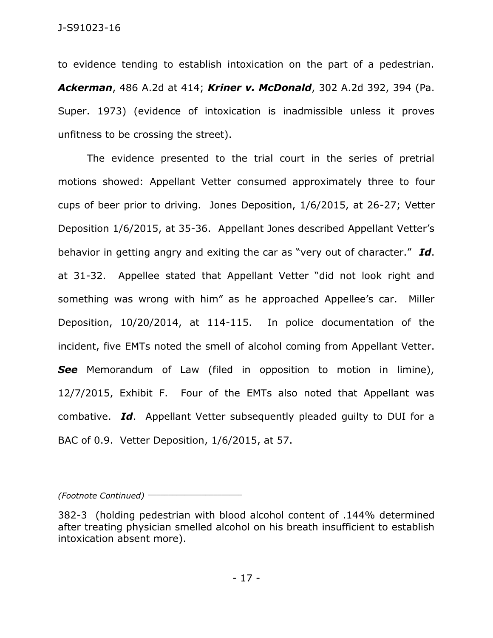to evidence tending to establish intoxication on the part of a pedestrian. *Ackerman*, 486 A.2d at 414; *Kriner v. McDonald*, 302 A.2d 392, 394 (Pa. Super. 1973) (evidence of intoxication is inadmissible unless it proves unfitness to be crossing the street).

The evidence presented to the trial court in the series of pretrial motions showed: Appellant Vetter consumed approximately three to four cups of beer prior to driving. Jones Deposition, 1/6/2015, at 26-27; Vetter Deposition 1/6/2015, at 35-36. Appellant Jones described Appellant Vetter's behavior in getting angry and exiting the car as "very out of character." *Id*. at 31-32. Appellee stated that Appellant Vetter "did not look right and something was wrong with him" as he approached Appellee's car. Miller Deposition, 10/20/2014, at 114-115. In police documentation of the incident, five EMTs noted the smell of alcohol coming from Appellant Vetter. **See** Memorandum of Law (filed in opposition to motion in limine), 12/7/2015, Exhibit F. Four of the EMTs also noted that Appellant was combative. *Id*. Appellant Vetter subsequently pleaded guilty to DUI for a BAC of 0.9. Vetter Deposition, 1/6/2015, at 57.

*(Footnote Continued)* \_\_\_\_\_\_\_\_\_\_\_\_\_\_\_\_\_\_\_\_\_\_\_

<sup>382-3 (</sup>holding pedestrian with blood alcohol content of .144% determined after treating physician smelled alcohol on his breath insufficient to establish intoxication absent more).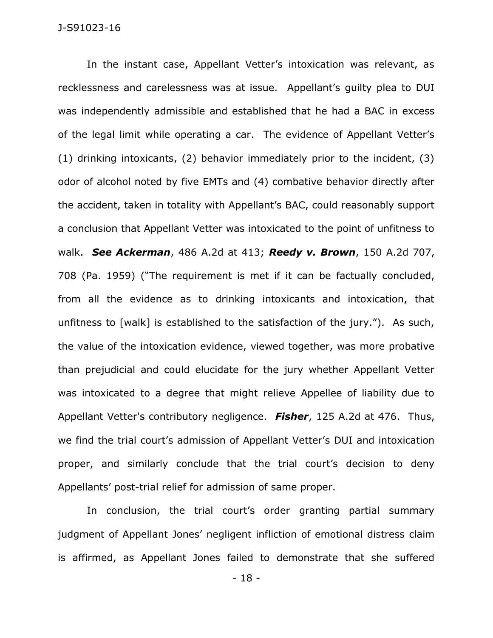In the instant case, Appellant Vetter's intoxication was relevant, as recklessness and carelessness was at issue. Appellant's guilty plea to DUI was independently admissible and established that he had a BAC in excess of the legal limit while operating a car. The evidence of Appellant Vetter's (1) drinking intoxicants, (2) behavior immediately prior to the incident, (3) odor of alcohol noted by five EMTs and (4) combative behavior directly after the accident, taken in totality with Appellant's BAC, could reasonably support a conclusion that Appellant Vetter was intoxicated to the point of unfitness to walk. *See Ackerman*, 486 A.2d at 413; *Reedy v. Brown*, 150 A.2d 707, 708 (Pa. 1959) ("The requirement is met if it can be factually concluded, from all the evidence as to drinking intoxicants and intoxication, that unfitness to [walk] is established to the satisfaction of the jury."). As such, the value of the intoxication evidence, viewed together, was more probative than prejudicial and could elucidate for the jury whether Appellant Vetter was intoxicated to a degree that might relieve Appellee of liability due to Appellant Vetter's contributory negligence. *Fisher*, 125 A.2d at 476. Thus, we find the trial court's admission of Appellant Vetter's DUI and intoxication proper, and similarly conclude that the trial court's decision to deny Appellants' post-trial relief for admission of same proper.

In conclusion, the trial court's order granting partial summary judgment of Appellant Jones' negligent infliction of emotional distress claim is affirmed, as Appellant Jones failed to demonstrate that she suffered

- 18 -